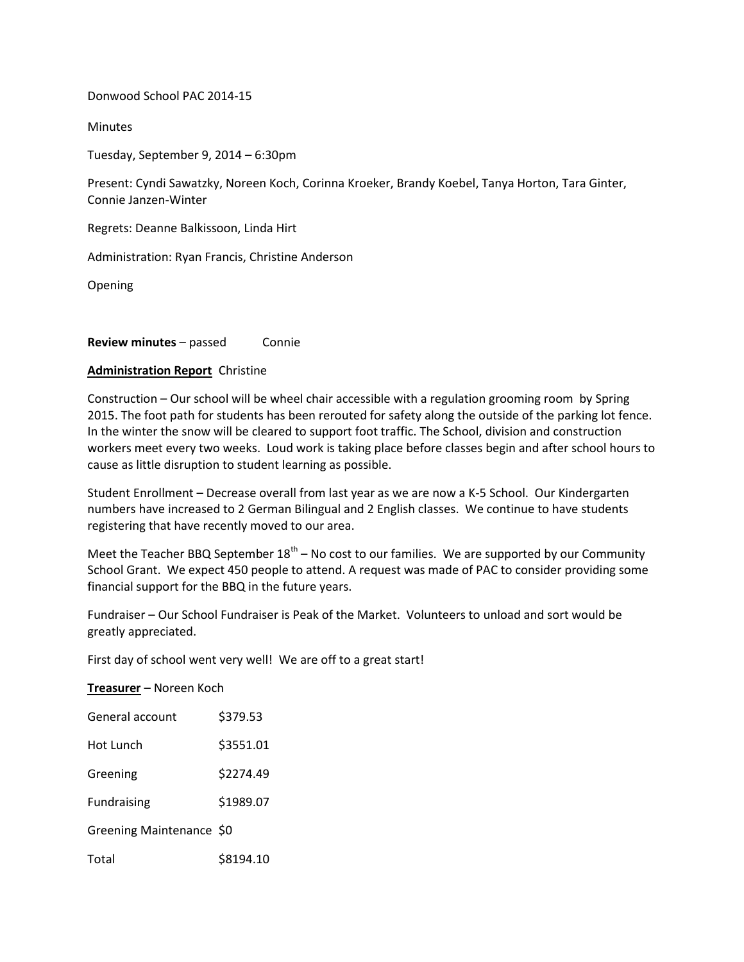Donwood School PAC 2014-15

**Minutes** 

Tuesday, September 9, 2014 – 6:30pm

Present: Cyndi Sawatzky, Noreen Koch, Corinna Kroeker, Brandy Koebel, Tanya Horton, Tara Ginter, Connie Janzen-Winter

Regrets: Deanne Balkissoon, Linda Hirt

Administration: Ryan Francis, Christine Anderson

Opening

**Review minutes** – passed Connie

## **Administration Report** Christine

Construction – Our school will be wheel chair accessible with a regulation grooming room by Spring 2015. The foot path for students has been rerouted for safety along the outside of the parking lot fence. In the winter the snow will be cleared to support foot traffic. The School, division and construction workers meet every two weeks. Loud work is taking place before classes begin and after school hours to cause as little disruption to student learning as possible.

Student Enrollment – Decrease overall from last year as we are now a K-5 School. Our Kindergarten numbers have increased to 2 German Bilingual and 2 English classes. We continue to have students registering that have recently moved to our area.

Meet the Teacher BBQ September  $18<sup>th</sup>$  – No cost to our families. We are supported by our Community School Grant. We expect 450 people to attend. A request was made of PAC to consider providing some financial support for the BBQ in the future years.

Fundraiser – Our School Fundraiser is Peak of the Market. Volunteers to unload and sort would be greatly appreciated.

First day of school went very well! We are off to a great start!

**Treasurer** – Noreen Koch

| General account          | \$379.53  |
|--------------------------|-----------|
| Hot Lunch                | \$3551.01 |
| Greening                 | \$2274.49 |
| <b>Fundraising</b>       | \$1989.07 |
| Greening Maintenance \$0 |           |
| Total                    | \$8194.10 |